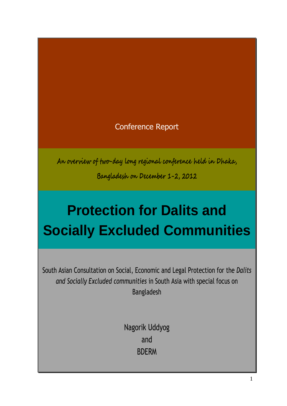# Conference Report

**An overview of two-day long regional conference held in Dhaka,** 

**Bangladesh on December 1-2, 2012**

# **Protection for Dalits and Socially Excluded Communities**

South Asian Consultation on Social, Economic and Legal Protection for the *Dalits and Socially Excluded communities* in South Asia with special focus on Bangladesh

> Nagorik Uddyog and **BDFRM**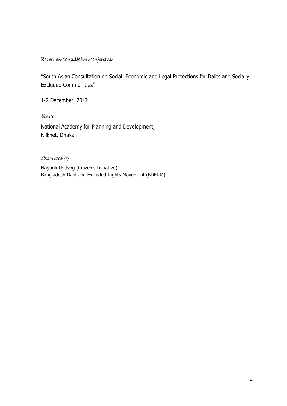Report on Consultation conference

"South Asian Consultation on Social, Economic and Legal Protections for Dalits and Socially Excluded Communities"

1-2 December, 2012

Venue

National Academy for Planning and Development, Nilkhet, Dhaka.

Organized by

Nagorik Uddyog (Citizen's Initiative) Bangladesh Dalit and Excluded Rights Movement (BDERM)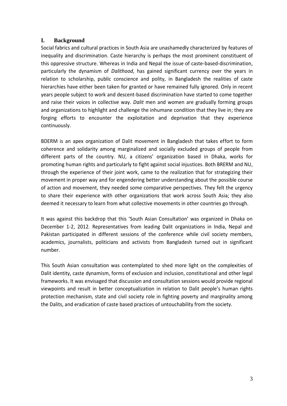# **I. Background**

Social fabrics and cultural practices in South Asia are unashamedly characterized by features of inequality and discrimination. Caste hierarchy is perhaps the most prominent constituent of this oppressive structure. Whereas in India and Nepal the issue of caste-based-discrimination, particularly the dynamism of *Dalithood*, has gained significant currency over the years in relation to scholarship, public conscience and polity, in Bangladesh the realities of caste hierarchies have either been taken for granted or have remained fully ignored. Only in recent years people subject to work and descent-based discrimination have started to come together and raise their voices in collective way. *Dalit* men and women are gradually forming groups and organizations to highlight and challenge the inhumane condition that they live in; they are forging efforts to encounter the exploitation and deprivation that they experience continuously.

BDERM is an apex organization of Dalit movement in Bangladesh that takes effort to form coherence and solidarity among marginalized and socially excluded groups of people from different parts of the country. NU, a citizens' organization based in Dhaka, works for promoting human rights and particularly to fight against social injustices. Both BRERM and NU, through the experience of their joint work, came to the realization that for strategizing their movement in proper way and for engendering better understanding about the possible course of action and movement, they needed some comparative perspectives. They felt the urgency to share their experience with other organizations that work across South Asia; they also deemed it necessary to learn from what collective movements in other countries go through.

It was against this backdrop that this 'South Asian Consultation' was organized in Dhaka on December 1-2, 2012. Representatives from leading Dalit organizations in India, Nepal and Pakistan participated in different sessions of the conference while civil society members, academics, journalists, politicians and activists from Bangladesh turned out in significant number.

This South Asian consultation was contemplated to shed more light on the complexities of Dalit identity, caste dynamism, forms of exclusion and inclusion, constitutional and other legal frameworks. It was envisaged that discussion and consultation sessions would provide regional viewpoints and result in better conceptualization in relation to Dalit people's human rights protection mechanism, state and civil society role in fighting poverty and marginality among the Dalits, and eradication of caste based practices of untouchability from the society.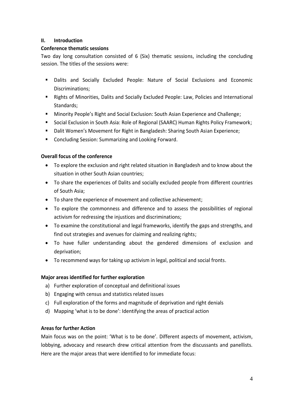# **II. Introduction**

## **Conference thematic sessions**

Two day long consultation consisted of 6 (Six) thematic sessions, including the concluding session. The titles of the sessions were:

- Dalits and Socially Excluded People: Nature of Social Exclusions and Economic Discriminations;
- Rights of Minorities, Dalits and Socially Excluded People: Law, Policies and International Standards;
- Minority People's Right and Social Exclusion: South Asian Experience and Challenge;
- Social Exclusion in South Asia: Role of Regional (SAARC) Human Rights Policy Framework;
- Dalit Women's Movement for Right in Bangladesh: Sharing South Asian Experience;
- **E** Concluding Session: Summarizing and Looking Forward.

# **Overall focus of the conference**

- To explore the exclusion and right related situation in Bangladesh and to know about the situation in other South Asian countries;
- To share the experiences of Dalits and socially excluded people from different countries of South Asia;
- To share the experience of movement and collective achievement;
- To explore the commonness and difference and to assess the possibilities of regional activism for redressing the injustices and discriminations;
- To examine the constitutional and legal frameworks, identify the gaps and strengths, and find out strategies and avenues for claiming and realizing rights;
- To have fuller understanding about the gendered dimensions of exclusion and deprivation;
- To recommend ways for taking up activism in legal, political and social fronts.

# **Major areas identified for further exploration**

- a) Further exploration of conceptual and definitional issues
- b) Engaging with census and statistics related issues
- c) Full exploration of the forms and magnitude of deprivation and right denials
- d) Mapping 'what is to be done': Identifying the areas of practical action

# **Areas for further Action**

Main focus was on the point: 'What is to be done'. Different aspects of movement, activism, lobbying, advocacy and research drew critical attention from the discussants and panellists. Here are the major areas that were identified to for immediate focus: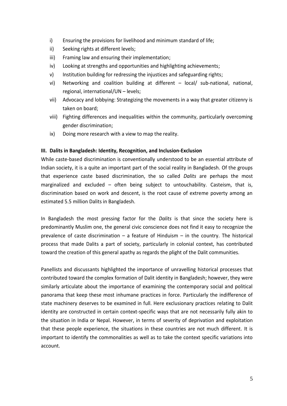- i) Ensuring the provisions for livelihood and minimum standard of life;
- ii) Seeking rights at different levels;
- iii) Framing law and ensuring their implementation;
- iv) Looking at strengths and opportunities and highlighting achievements;
- v) Institution building for redressing the injustices and safeguarding rights;
- vi) Networking and coalition building at different local/ sub-national, national, regional, international/UN – levels;
- vii) Advocacy and lobbying: Strategizing the movements in a way that greater citizenry is taken on board;
- viii) Fighting differences and inequalities within the community, particularly overcoming gender discrimination;
- ix) Doing more research with a view to map the reality.

# **III. Dalits in Bangladesh: Identity, Recognition, and Inclusion-Exclusion**

While caste-based discrimination is conventionally understood to be an essential attribute of Indian society, it is a quite an important part of the social reality in Bangladesh. Of the groups that experience caste based discrimination, the so called *Dalits* are perhaps the most marginalized and excluded – often being subject to untouchability. Casteism, that is, discrimination based on work and descent, is the root cause of extreme poverty among an estimated 5.5 million Dalits in Bangladesh.

In Bangladesh the most pressing factor for the *Dalits* is that since the society here is predominantly Muslim one, the general civic conscience does not find it easy to recognize the prevalence of caste discrimination – a feature of Hinduism – in the country. The historical process that made Dalits a part of society, particularly in colonial context, has contributed toward the creation of this general apathy as regards the plight of the Dalit communities.

Panellists and discussants highlighted the importance of unravelling historical processes that contributed toward the complex formation of Dalit identity in Bangladesh; however, they were similarly articulate about the importance of examining the contemporary social and political panorama that keep these most inhumane practices in force. Particularly the indifference of state machinery deserves to be examined in full. Here exclusionary practices relating to Dalit identity are constructed in certain context-specific ways that are not necessarily fully akin to the situation in India or Nepal. However, in terms of severity of deprivation and exploitation that these people experience, the situations in these countries are not much different. It is important to identify the commonalities as well as to take the context specific variations into account.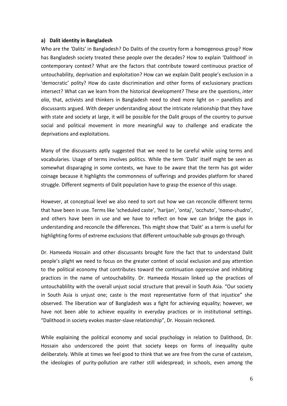#### **a) Dalit identity in Bangladesh**

Who are the 'Dalits' in Bangladesh? Do Dalits of the country form a homogenous group? How has Bangladesh society treated these people over the decades? How to explain 'Dalithood' in contemporary context? What are the factors that contribute toward continuous practice of untouchability, deprivation and exploitation? How can we explain Dalit people's exclusion in a 'democratic' polity? How do caste discrimination and other forms of exclusionary practices intersect? What can we learn from the historical development? These are the questions, *inter alia*, that, activists and thinkers in Bangladesh need to shed more light on – panellists and discussants argued. With deeper understanding about the intricate relationship that they have with state and society at large, it will be possible for the Dalit groups of the country to pursue social and political movement in more meaningful way to challenge and eradicate the deprivations and exploitations.

Many of the discussants aptly suggested that we need to be careful while using terms and vocabularies. Usage of terms involves politics. While the term 'Dalit' itself might be seen as somewhat disparaging in some contexts, we have to be aware that the term has got wider coinage because it highlights the commonness of sufferings and provides platform for shared struggle. Different segments of Dalit population have to grasp the essence of this usage.

However, at conceptual level we also need to sort out how we can reconcile different terms that have been in use. Terms like 'scheduled caste', 'harijan', 'ontaj', 'occhuto', 'nomo-shudro', and others have been in use and we have to reflect on how we can bridge the gaps in understanding and reconcile the differences. This might show that 'Dalit' as a term is useful for highlighting forms of extreme exclusions that different untouchable sub-groups go through.

Dr. Hameeda Hossain and other discussants brought fore the fact that to understand Dalit people's plight we need to focus on the greater context of social exclusion and pay attention to the political economy that contributes toward the continuation oppressive and inhibiting practices in the name of untouchability. Dr. Hameeda Hossain linked up the practices of untouchablility with the overall unjust social structure that prevail in South Asia. "Our society in South Asia is unjust one; caste is the most representative form of that injustice" she observed. The liberation war of Bangladesh was a fight for achieving equality; however, we have not been able to achieve equality in everyday practices or in institutional settings. "Dalithood in society evokes master-slave relationship", Dr. Hossain reckoned.

While explaining the political economy and social psychology in relation to Dalithood, Dr. Hossain also underscored the point that society keeps on forms of inequality quite deliberately. While at times we feel good to think that we are free from the curse of casteism, the ideologies of purity-pollution are rather still widespread; in schools, even among the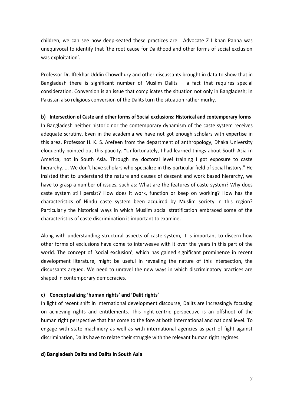children, we can see how deep-seated these practices are. Advocate Z I Khan Panna was unequivocal to identify that 'the root cause for Dalithood and other forms of social exclusion was exploitation'.

Professor Dr. Iftekhar Uddin Chowdhury and other discussants brought in data to show that in Bangladesh there is significant number of Muslim Dalits – a fact that requires special consideration. Conversion is an issue that complicates the situation not only in Bangladesh; in Pakistan also religious conversion of the Dalits turn the situation rather murky.

#### **b) Intersection of Caste and other forms of Social exclusions: Historical and contemporary forms**

In Bangladesh neither historic nor the contemporary dynamism of the caste system receives adequate scrutiny. Even in the academia we have not got enough scholars with expertise in this area. Professor H. K. S. Arefeen from the department of anthropology, Dhaka University eloquently pointed out this paucity. "Unfortunately, I had learned things about South Asia in America, not in South Asia. Through my doctoral level training I got exposure to caste hierarchy. ... We don't have scholars who specialize in this particular field of social history." He insisted that to understand the nature and causes of descent and work based hierarchy, we have to grasp a number of issues, such as: What are the features of caste system? Why does caste system still persist? How does it work, function or keep on working? How has the characteristics of Hindu caste system been acquired by Muslim society in this region? Particularly the historical ways in which Muslim social stratification embraced some of the characteristics of caste discrimination is important to examine.

Along with understanding structural aspects of caste system, it is important to discern how other forms of exclusions have come to interweave with it over the years in this part of the world. The concept of 'social exclusion', which has gained significant prominence in recent development literature, might be useful in revealing the nature of this intersection, the discussants argued. We need to unravel the new ways in which discriminatory practices are shaped in contemporary democracies.

#### **c) Conceptualizing 'human rights' and 'Dalit rights'**

In light of recent shift in international development discourse, Dalits are increasingly focusing on achieving rights and entitlements. This right-centric perspective is an offshoot of the human right perspective that has come to the fore at both international and national level. To engage with state machinery as well as with international agencies as part of fight against discrimination, Dalits have to relate their struggle with the relevant human right regimes.

#### **d) Bangladesh Dalits and Dalits in South Asia**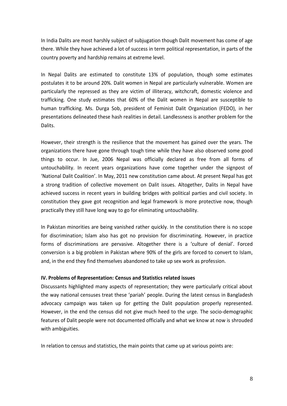In India Dalits are most harshly subject of subjugation though Dalit movement has come of age there. While they have achieved a lot of success in term political representation, in parts of the country poverty and hardship remains at extreme level.

In Nepal Dalits are estimated to constitute 13% of population, though some estimates postulates it to be around 20%. Dalit women in Nepal are particularly vulnerable. Women are particularly the repressed as they are victim of illiteracy, witchcraft, domestic violence and trafficking. One study estimates that 60% of the Dalit women in Nepal are susceptible to human trafficking. Ms. Durga Sob, president of Feminist Dalit Organization (FEDO), in her presentations delineated these hash realities in detail. Landlessness is another problem for the Dalits.

However, their strength is the resilience that the movement has gained over the years. The organizations there have gone through tough time while they have also observed some good things to occur. In Jue, 2006 Nepal was officially declared as free from all forms of untouchability. In recent years organizations have come together under the signpost of 'National Dalit Coalition'. In May, 2011 new constitution came about. At present Nepal has got a strong tradition of collective movement on Dalit issues. Altogether, Dalits in Nepal have achieved success in recent years in building bridges with political parties and civil society. In constitution they gave got recognition and legal framework is more protective now, though practically they still have long way to go for eliminating untouchability.

In Pakistan minorities are being vanished rather quickly. In the constitution there is no scope for discrimination; Islam also has got no provision for discriminating. However, in practice forms of discriminations are pervasive. Altogether there is a 'culture of denial'. Forced conversion is a big problem in Pakistan where 90% of the girls are forced to convert to Islam, and, in the end they find themselves abandoned to take up sex work as profession.

#### **IV. Problems of Representation: Census and Statistics related issues**

Discussants highlighted many aspects of representation; they were particularly critical about the way national censuses treat these 'pariah' people. During the latest census in Bangladesh advocacy campaign was taken up for getting the Dalit population properly represented. However, in the end the census did not give much heed to the urge. The socio-demographic features of Dalit people were not documented officially and what we know at now is shrouded with ambiguities.

In relation to census and statistics, the main points that came up at various points are: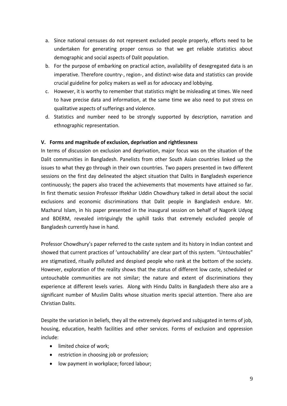- a. Since national censuses do not represent excluded people properly, efforts need to be undertaken for generating proper census so that we get reliable statistics about demographic and social aspects of Dalit population.
- b. For the purpose of embarking on practical action, availability of desegregated data is an imperative. Therefore country-, region-, and distinct-wise data and statistics can provide crucial guideline for policy makers as well as for advocacy and lobbying.
- c. However, it is worthy to remember that statistics might be misleading at times. We need to have precise data and information, at the same time we also need to put stress on qualitative aspects of sufferings and violence.
- d. Statistics and number need to be strongly supported by description, narration and ethnographic representation.

# **V. Forms and magnitude of exclusion, deprivation and rightlessness**

In terms of discussion on exclusion and deprivation, major focus was on the situation of the Dalit communities in Bangladesh. Panelists from other South Asian countries linked up the issues to what they go through in their own countries. Two papers presented in two different sessions on the first day delineated the abject situation that Dalits in Bangladesh experience continuously; the papers also traced the achievements that movements have attained so far. In first thematic session Professor Iftekhar Uddin Chowdhury talked in detail about the social exclusions and economic discriminations that Dalit people in Bangladesh endure. Mr. Mazharul Islam, in his paper presented in the inaugural session on behalf of Nagorik Udyog and BDERM, revealed intriguingly the uphill tasks that extremely excluded people of Bangladesh currently have in hand.

Professor Chowdhury's paper referred to the caste system and its history in Indian context and showed that current practices of 'untouchability' are clear part of this system. "Untouchables" are stigmatized, ritually polluted and despised people who rank at the bottom of the society. However, exploration of the reality shows that the status of different low caste, scheduled or untouchable communities are not similar; the nature and extent of discriminations they experience at different levels varies. Along with Hindu Dalits in Bangladesh there also are a significant number of Muslim Dalits whose situation merits special attention. There also are Christian Dalits.

Despite the variation in beliefs, they all the extremely deprived and subjugated in terms of job, housing, education, health facilities and other services. Forms of exclusion and oppression include:

- **.** limited choice of work:
- restriction in choosing job or profession;
- low payment in workplace; forced labour;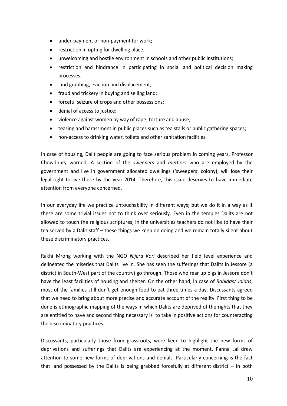- under-payment or non-payment for work;
- restriction in opting for dwelling place;
- unwelcoming and hostile environment in schools and other public institutions;
- restriction and hindrance in participating in social and political decision making processes;
- land grabbing, eviction and displacement;
- fraud and trickery in buying and selling land;
- forceful seizure of crops and other possessions;
- denial of access to justice;
- violence against women by way of rape, torture and abuse;
- teasing and harassment in public places such as tea stalls or public gathering spaces;
- non-access to drinking water, toilets and other sanitation facilities.

In case of housing, Dalit people are going to face serious problem in coming years, Professor Chowdhury warned. A section of the *sweepers* and *methors* who are employed by the government and live in government allocated dwellings ('sweepers' colony), will lose their legal right to live there by the year 2014. Therefore, this issue deserves to have immediate attention from everyone concerned.

In our everyday life we practice untouchability in different ways; but we do it in a way as if these are some trivial issues not to think over seriously. Even in the temples Dalits are not allowed to touch the religious scriptures; in the universities teachers do not like to have their tea served by a Dalit staff – these things we keep on doing and we remain totally silent about these discriminatory practices.

Rakhi Mrong working with the NGO *Nijera Kori* described her field level experience and delineated the miseries that Dalits live in. She has seen the sufferings that Dalits in Jessore (a district in South-West part of the country) go through. Those who rear up pigs in Jessore don't have the least facilities of housing and shelter. On the other hand, in case of *Rabidas/ Joldas*, most of the families still don't get enough food to eat three times a day. Discussants agreed that we need to bring about more precise and accurate account of the reality. First thing to be done is ethnographic mapping of the ways in which Dalits are deprived of the rights that they are entitled to have and second thing necessary is to take in positive actions for counteracting the discriminatory practices.

Discussants, particularly those from grassroots, were keen to highlight the new forms of deprivations and sufferings that Dalits are experiencing at the moment. Panna Lal drew attention to some new forms of deprivations and denials. Particularly concerning is the fact that land possessed by the Dalits is being grabbed forcefully at different district  $-$  in both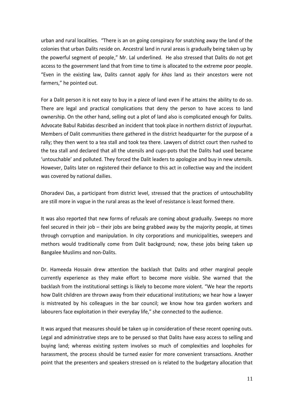urban and rural localities. "There is an on going conspiracy for snatching away the land of the colonies that urban Dalits reside on. Ancestral land in rural areas is gradually being taken up by the powerful segment of people," Mr. Lal underlined. He also stressed that Dalits do not get access to the government land that from time to time is allocated to the extreme poor people. "Even in the existing law, Dalits cannot apply for *khas* land as their ancestors were not farmers," he pointed out.

For a Dalit person it is not easy to buy in a piece of land even if he attains the ability to do so. There are legal and practical complications that deny the person to have access to land ownership. On the other hand, selling out a plot of land also is complicated enough for Dalits. Advocate Babul Rabidas described an incident that took place in northern district of Joypurhat. Members of Dalit communities there gathered in the district headquarter for the purpose of a rally; they then went to a tea stall and took tea there. Lawyers of district court then rushed to the tea stall and declared that all the utensils and cups-pots that the Dalits had used became 'untouchable' and polluted. They forced the Dalit leaders to apologize and buy in new utensils. However, Dalits later on registered their defiance to this act in collective way and the incident was covered by national dailies.

Dhoradevi Das, a participant from district level, stressed that the practices of untouchability are still more in vogue in the rural areas as the level of resistance is least formed there.

It was also reported that new forms of refusals are coming about gradually. Sweeps no more feel secured in their job – their jobs are being grabbed away by the majority people, at times through corruption and manipulation. In city corporations and municipalities, sweepers and methors would traditionally come from Dalit background; now, these jobs being taken up Bangalee Muslims and non-Dalits.

Dr. Hameeda Hossain drew attention the backlash that Dalits and other marginal people currently experience as they make effort to become more visible. She warned that the backlash from the institutional settings is likely to become more violent. "We hear the reports how Dalit children are thrown away from their educational institutions; we hear how a lawyer is mistreated by his colleagues in the bar council; we know how tea garden workers and labourers face exploitation in their everyday life," she connected to the audience.

It was argued that measures should be taken up in consideration of these recent opening outs. Legal and administrative steps are to be perused so that Dalits have easy access to selling and buying land; whereas existing system involves so much of complexities and loopholes for harassment, the process should be turned easier for more convenient transactions. Another point that the presenters and speakers stressed on is related to the budgetary allocation that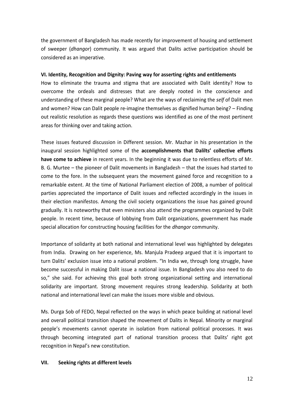the government of Bangladesh has made recently for improvement of housing and settlement of sweeper (*dhangor*) community. It was argued that Dalits active participation should be considered as an imperative.

## **VI. Identity, Recognition and Dignity: Paving way for asserting rights and entitlements**

How to eliminate the trauma and stigma that are associated with Dalit identity? How to overcome the ordeals and distresses that are deeply rooted in the conscience and understanding of these marginal people? What are the ways of reclaiming the *self* of Dalit men and women? How can Dalit people re-imagine themselves as dignified human being? – Finding out realistic resolution as regards these questions was identified as one of the most pertinent areas for thinking over and taking action.

These issues featured discussion in Different session. Mr. Mazhar in his presentation in the inaugural session highlighted some of the **accomplishments that Dalilts' collective efforts have come to achieve** in recent years. In the beginning it was due to relentless efforts of Mr. B. G. Murtee – the pioneer of Dalit movements in Bangladesh – that the issues had started to come to the fore. In the subsequent years the movement gained force and recognition to a remarkable extent. At the time of National Parliament election of 2008, a number of political parties appreciated the importance of Dalit issues and reflected accordingly in the issues in their election manifestos. Among the civil society organizations the issue has gained ground gradually. It is noteworthy that even ministers also attend the programmes organized by Dalit people. In recent time, because of lobbying from Dalit organizations, government has made special allocation for constructing housing facilities for the *dhangor* community.

Importance of solidarity at both national and international level was highlighted by delegates from India. Drawing on her experience, Ms. Manjula Pradeep argued that it is important to turn Dalits' exclusion issue into a national problem. "In India we, through long struggle, have become successful in making Dalit issue a national issue. In Bangladesh you also need to do so," she said. For achieving this goal both strong organizational setting and international solidarity are important. Strong movement requires strong leadership. Solidarity at both national and international level can make the issues more visible and obvious.

Ms. Durga Sob of FEDO, Nepal reflected on the ways in which peace building at national level and overall political transition shaped the movement of Dalits in Nepal. Minority or marginal people's movements cannot operate in isolation from national political processes. It was through becoming integrated part of national transition process that Dalits' right got recognition in Nepal's new constitution.

#### **VII. Seeking rights at different levels**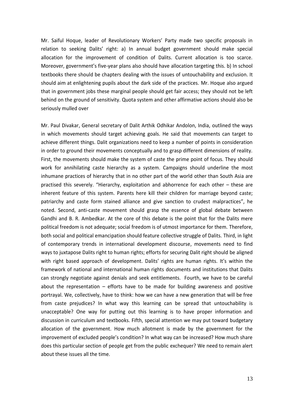Mr. Saiful Hoque, leader of Revolutionary Workers' Party made two specific proposals in relation to seeking Dalits' right: a) In annual budget government should make special allocation for the improvement of condition of Dalits. Current allocation is too scarce. Moreover, government's five-year plans also should have allocation targeting this. b) In school textbooks there should be chapters dealing with the issues of untouchability and exclusion. It should aim at enlightening pupils about the dark side of the practices. Mr. Hoque also argued that in government jobs these marginal people should get fair access; they should not be left behind on the ground of sensitivity. Quota system and other affirmative actions should also be seriously mulled over

Mr. Paul Divakar, General secretary of Dalit Arthik Odhikar Andolon, India, outlined the ways in which movements should target achieving goals. He said that movements can target to achieve different things. Dalit organizations need to keep a number of points in consideration in order to ground their movements conceptually and to grasp different dimensions of reality. First, the movements should make the system of caste the prime point of focus. They should work for annihilating caste hierarchy as a system. Campaigns should underline the most inhumane practices of hierarchy that in no other part of the world other than South Asia are practised this severely. "Hierarchy, exploitation and abhorrence for each other – these are inherent feature of this system. Parents here kill their children for marriage beyond caste; patriarchy and caste form stained alliance and give sanction to crudest malpractices", he noted. Second, anti-caste movement should grasp the essence of global debate between Gandhi and B. R. Ambedkar. At the core of this debate is the point that for the Dalits mere political freedom is not adequate; social freedom is of utmost importance for them. Therefore, both social and political emancipation should feature collective struggle of Dalits. Third, in light of contemporary trends in international development discourse, movements need to find ways to juxtapose Dalits right to human rights; efforts for securing Dalit right should be aligned with right based approach of development. Dalits' rights are human rights. It's within the framework of national and international human rights documents and institutions that Dalits can strongly negotiate against denials and seek entitlements. Fourth, we have to be careful about the representation – efforts have to be made for building awareness and positive portrayal. We, collectively, have to think: how we can have a new generation that will be free from caste prejudices? In what way this learning can be spread that untouchability is unacceptable? One way for putting out this learning is to have proper information and discussion in curriculum and textbooks. Fifth, special attention we may put toward budgetary allocation of the government. How much allotment is made by the government for the improvement of excluded people's condition? In what way can be increased? How much share does this particular section of people get from the public exchequer? We need to remain alert about these issues all the time.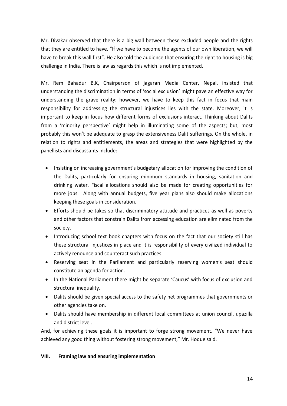Mr. Divakar observed that there is a big wall between these excluded people and the rights that they are entitled to have. "If we have to become the agents of our own liberation, we will have to break this wall first". He also told the audience that ensuring the right to housing is big challenge in India. There is law as regards this which is not implemented.

Mr. Rem Bahadur B.K, Chairperson of jagaran Media Center, Nepal, insisted that understanding the discrimination in terms of 'social exclusion' might pave an effective way for understanding the grave reality; however, we have to keep this fact in focus that main responsibility for addressing the structural injustices lies with the state. Moreover, it is important to keep in focus how different forms of exclusions interact. Thinking about Dalits from a 'minority perspective' might help in illuminating some of the aspects; but, most probably this won't be adequate to grasp the extensiveness Dalit sufferings. On the whole, in relation to rights and entitlements, the areas and strategies that were highlighted by the panellists and discussants include:

- Insisting on increasing government's budgetary allocation for improving the condition of the Dalits, particularly for ensuring minimum standards in housing, sanitation and drinking water. Fiscal allocations should also be made for creating opportunities for more jobs. Along with annual budgets, five year plans also should make allocations keeping these goals in consideration.
- Efforts should be takes so that discriminatory attitude and practices as well as poverty and other factors that constrain Dalits from accessing education are eliminated from the society.
- Introducing school text book chapters with focus on the fact that our society still has these structural injustices in place and it is responsibility of every civilized individual to actively renounce and counteract such practices.
- Reserving seat in the Parliament and particularly reserving women's seat should constitute an agenda for action.
- In the National Parliament there might be separate 'Caucus' with focus of exclusion and structural inequality.
- Dalits should be given special access to the safety net programmes that governments or other agencies take on.
- Dalits should have membership in different local committees at union council, upazilla and district level.

And, for achieving these goals it is important to forge strong movement. "We never have achieved any good thing without fostering strong movement," Mr. Hoque said.

# **VIII. Framing law and ensuring implementation**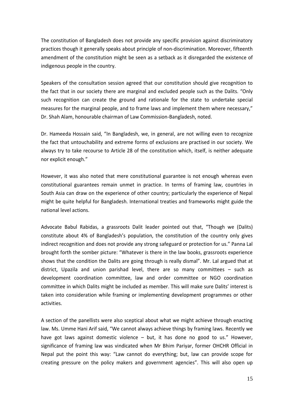The constitution of Bangladesh does not provide any specific provision against discriminatory practices though it generally speaks about principle of non-discrimination. Moreover, fifteenth amendment of the constitution might be seen as a setback as it disregarded the existence of indigenous people in the country.

Speakers of the consultation session agreed that our constitution should give recognition to the fact that in our society there are marginal and excluded people such as the Dalits. "Only such recognition can create the ground and rationale for the state to undertake special measures for the marginal people, and to frame laws and implement them where necessary," Dr. Shah Alam, honourable chairman of Law Commission-Bangladesh, noted.

Dr. Hameeda Hossain said, "In Bangladesh, we, in general, are not willing even to recognize the fact that untouchability and extreme forms of exclusions are practised in our society. We always try to take recourse to Article 28 of the constitution which, itself, is neither adequate nor explicit enough."

However, it was also noted that mere constitutional guarantee is not enough whereas even constitutional guarantees remain unmet in practice. In terms of framing law, countries in South Asia can draw on the experience of other country; particularly the experience of Nepal might be quite helpful for Bangladesh. International treaties and frameworks might guide the national level actions.

Advocate Babul Rabidas, a grassroots Dalit leader pointed out that, "Though we (Dalits) constitute about 4% of Bangladesh's population, the constitution of the country only gives indirect recognition and does not provide any strong safeguard or protection for us." Panna Lal brought forth the somber picture: "Whatever is there in the law books, grassroots experience shows that the condition the Dalits are going through is really dismal". Mr. Lal argued that at district, Upazila and union parishad level, there are so many committees – such as development coordination committee, law and order committee or NGO coordination committee in which Dalits might be included as member. This will make sure Dalits' interest is taken into consideration while framing or implementing development programmes or other activities.

A section of the panellists were also sceptical about what we might achieve through enacting law. Ms. Umme Hani Arif said, "We cannot always achieve things by framing laws. Recently we have got laws against domestic violence – but, it has done no good to us." However, significance of framing law was vindicated when Mr Bhim Pariyar, former OHCHR Official in Nepal put the point this way: "Law cannot do everything; but, law can provide scope for creating pressure on the policy makers and government agencies". This will also open up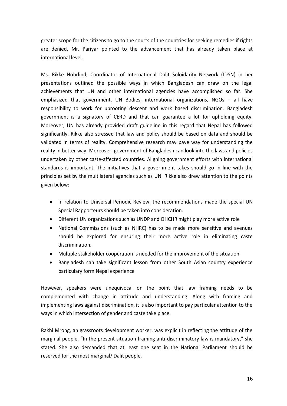greater scope for the citizens to go to the courts of the countries for seeking remedies if rights are denied. Mr. Pariyar pointed to the advancement that has already taken place at international level.

Ms. Rikke Nohrlind, Coordinator of International Dalit Soloidarity Network (IDSN) in her presentations outlined the possible ways in which Bangladesh can draw on the legal achievements that UN and other international agencies have accomplished so far. She emphasized that government, UN Bodies, international organizations, NGOs – all have responsibility to work for uprooting descent and work based discrimination. Bangladesh government is a signatory of CERD and that can guarantee a lot for upholding equity. Moreover, UN has already provided draft guideline in this regard that Nepal has followed significantly. Rikke also stressed that law and policy should be based on data and should be validated in terms of reality. Comprehensive research may pave way for understanding the reality in better way. Moreover, government of Bangladesh can look into the laws and policies undertaken by other caste-affected countries. Aligning government efforts with international standards is important. The initiatives that a government takes should go in line with the principles set by the multilateral agencies such as UN. Rikke also drew attention to the points given below:

- In relation to Universal Periodic Review, the recommendations made the special UN Special Rapporteurs should be taken into consideration.
- Different UN organizations such as UNDP and OHCHR might play more active role
- National Commissions (such as NHRC) has to be made more sensitive and avenues should be explored for ensuring their more active role in eliminating caste discrimination.
- Multiple stakeholder cooperation is needed for the improvement of the situation.
- Bangladesh can take significant lesson from other South Asian country experience particulary form Nepal experience

However, speakers were unequivocal on the point that law framing needs to be complemented with change in attitude and understanding. Along with framing and implementing laws against discrimination, it is also important to pay particular attention to the ways in which intersection of gender and caste take place.

Rakhi Mrong, an grassroots development worker, was explicit in reflecting the attitude of the marginal people. "In the present situation framing anti-discriminatory law is mandatory," she stated. She also demanded that at least one seat in the National Parliament should be reserved for the most marginal/ Dalit people.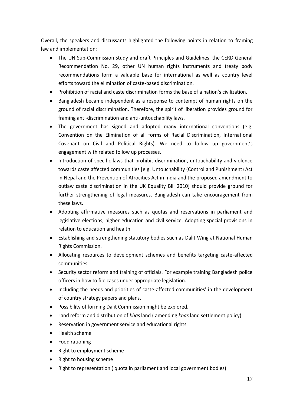Overall, the speakers and discussants highlighted the following points in relation to framing law and implementation:

- The UN Sub-Commission study and draft Principles and Guidelines, the CERD General Recommendation No. 29, other UN human rights instruments and treaty body recommendations form a valuable base for international as well as country level efforts toward the elimination of caste-based discrimination.
- Prohibition of racial and caste discrimination forms the base of a nation's civilization.
- Bangladesh became independent as a response to contempt of human rights on the ground of racial discrimination. Therefore, the spirit of liberation provides ground for framing anti-discrimination and anti-untouchability laws.
- The government has signed and adopted many international conventions (e.g. Convention on the Elimination of all forms of Racial Discrimination, International Covenant on Civil and Political Rights). We need to follow up government's engagement with related follow up processes.
- Introduction of specific laws that prohibit discrimination, untouchability and violence towards caste affected communities [e.g. Untouchability (Control and Punishment) Act in Nepal and the Prevention of Atrocities Act in India and the proposed amendment to outlaw caste discrimination in the UK Equality Bill 2010] should provide ground for further strengthening of legal measures. Bangladesh can take encouragement from these laws.
- Adopting affirmative measures such as quotas and reservations in parliament and legislative elections, higher education and civil service. Adopting special provisions in relation to education and health.
- Establishing and strengthening statutory bodies such as Dalit Wing at National Human Rights Commission.
- Allocating resources to development schemes and benefits targeting caste-affected communities.
- Security sector reform and training of officials. For example training Bangladesh police officers in how to file cases under appropriate legislation.
- Including the needs and priorities of caste-affected communities' in the development of country strategy papers and plans.
- Possibility of forming Dalit Commission might be explored.
- Land reform and distribution of *khas* land ( amending *khas* land settlement policy)
- Reservation in government service and educational rights
- Health scheme
- Food rationing
- Right to employment scheme
- Right to housing scheme
- Right to representation ( quota in parliament and local government bodies)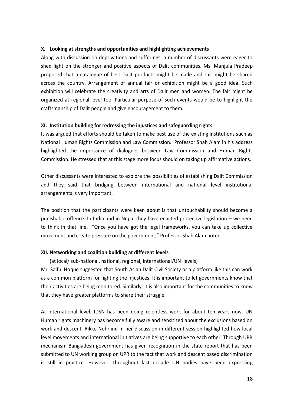#### **X. Looking at strengths and opportunities and highlighting achievements**

Along with discussion on deprivations and sufferings, a number of discussants were eager to shed light on the stronger and positive aspects of Dalit communities. Ms. Manjula Pradeep proposed that a catalogue of best Dalit products might be made and this might be shared across the country. Arrangement of annual fair or exhibition might be a good idea. Such exhibition will celebrate the creativity and arts of Dalit men and women. The fair might be organized at regional level too. Particular purpose of such events would be to highlight the craftsmanship of Dalit people and give encouragement to them.

## **XI. Institution building for redressing the injustices and safeguarding rights**

It was argued that efforts should be taken to make best use of the existing institutions such as National Human Rights Commission and Law Commission. Professor Shah Alam in his address highlighted the importance of dialogues between Law Commission and Human Rights Commission. He stressed that at this stage more focus should on taking up affirmative actions.

Other discussants were interested to explore the possibilities of establishing Dalit Commission and they said that bridging between international and national level institutional arrangements is very important.

The position that the participants were keen about is that untouchability should become a punishable offence. In India and in Nepal they have enacted protective legislation – we need to think in that line. "Once you have got the legal frameworks, you can take up collective movement and create pressure on the government," Professor Shah Alam noted.

#### **XII. Networking and coalition building at different levels**

(at local/ sub-national, national, regional, international/UN levels)

Mr. Saiful Hoque suggested that South Asian Dalit Civil Society or a platform like this can work as a common platform for fighting the injustices. It is important to let governments know that their activities are being monitored. Similarly, it is also important for the communities to know that they have greater platforms to share their struggle.

At international level, IDSN has been doing relentless work for about ten years now. UN Human rights machinery has become fully aware and sensitized about the exclusions based on work and descent. Rikke Nohrlind in her discussion in different session highlighted how local level movements and international initiatives are being supportive to each other. Through UPR mechanism Bangladesh government has given recognition in the state report that has been submitted to UN working group on UPR to the fact that work and descent based discrimination is still in practice. However, throughout last decade UN bodies have been expressing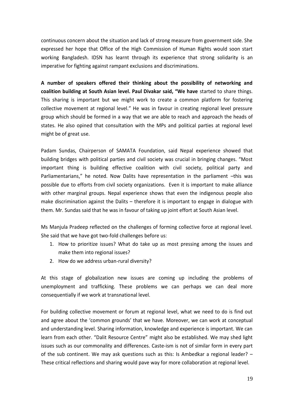continuous concern about the situation and lack of strong measure from government side. She expressed her hope that Office of the High Commission of Human Rights would soon start working Bangladesh. IDSN has learnt through its experience that strong solidarity is an imperative for fighting against rampant exclusions and discriminations.

**A number of speakers offered their thinking about the possibility of networking and coalition building at South Asian level. Paul Divakar said, "We have** started to share things. This sharing is important but we might work to create a common platform for fostering collective movement at regional level." He was in favour in creating regional level pressure group which should be formed in a way that we are able to reach and approach the heads of states. He also opined that consultation with the MPs and political parties at regional level might be of great use.

Padam Sundas, Chairperson of SAMATA Foundation, said Nepal experience showed that building bridges with political parties and civil society was crucial in bringing changes. "Most important thing is building effective coalition with civil society, political party and Parliamentarians," he noted. Now Dalits have representation in the parliament -this was possible due to efforts from civil society organizations. Even it is important to make alliance with other marginal groups. Nepal experience shows that even the indigenous people also make discrimination against the Dalits – therefore it is important to engage in dialogue with them. Mr. Sundas said that he was in favour of taking up joint effort at South Asian level.

Ms Manjula Pradeep reflected on the challenges of forming collective force at regional level. She said that we have got two-fold challenges before us:

- 1. How to prioritize issues? What do take up as most pressing among the issues and make them into regional issues?
- 2. How do we address urban-rural diversity?

At this stage of globalization new issues are coming up including the problems of unemployment and trafficking. These problems we can perhaps we can deal more consequentially if we work at transnational level.

For building collective movement or forum at regional level, what we need to do is find out and agree about the 'common grounds' that we have. Moreover, we can work at conceptual and understanding level. Sharing information, knowledge and experience is important. We can learn from each other. "Dalit Resource Centre" might also be established. We may shed light issues such as our commonality and differences. Caste-ism is not of similar form in every part of the sub continent. We may ask questions such as this: Is Ambedkar a regional leader? – These critical reflections and sharing would pave way for more collaboration at regional level.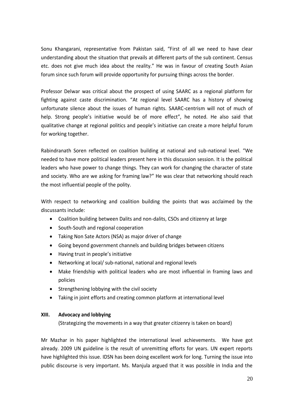Sonu Khangarani, representative from Pakistan said, "First of all we need to have clear understanding about the situation that prevails at different parts of the sub continent. Census etc. does not give much idea about the reality." He was in favour of creating South Asian forum since such forum will provide opportunity for pursuing things across the border.

Professor Delwar was critical about the prospect of using SAARC as a regional platform for fighting against caste discrimination. "At regional level SAARC has a history of showing unfortunate silence about the issues of human rights. SAARC-centrism will not of much of help. Strong people's initiative would be of more effect", he noted. He also said that qualitative change at regional politics and people's initiative can create a more helpful forum for working together.

Rabindranath Soren reflected on coalition building at national and sub-national level. "We needed to have more political leaders present here in this discussion session. It is the political leaders who have power to change things. They can work for changing the character of state and society. Who are we asking for framing law?" He was clear that networking should reach the most influential people of the polity.

With respect to networking and coalition building the points that was acclaimed by the discussants include:

- Coalition building between Dalits and non-dalits, CSOs and citizenry at large
- South-South and regional cooperation
- Taking Non Sate Actors (NSA) as major driver of change
- Going beyond government channels and building bridges between citizens
- Having trust in people's initiative
- Networking at local/ sub-national, national and regional levels
- Make friendship with political leaders who are most influential in framing laws and policies
- Strengthening lobbying with the civil society
- Taking in joint efforts and creating common platform at international level

# **XIII. Advocacy and lobbying**

(Strategizing the movements in a way that greater citizenry is taken on board)

Mr Mazhar in his paper highlighted the international level achievements. We have got already. 2009 UN guideline is the result of unremitting efforts for years. UN expert reports have highlighted this issue. IDSN has been doing excellent work for long. Turning the issue into public discourse is very important. Ms. Manjula argued that it was possible in India and the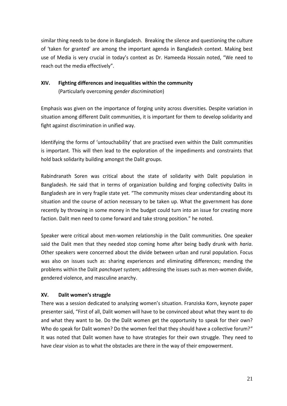similar thing needs to be done in Bangladesh. Breaking the silence and questioning the culture of 'taken for granted' are among the important agenda in Bangladesh context. Making best use of Media is very crucial in today's context as Dr. Hameeda Hossain noted, "We need to reach out the media effectively".

# **XIV. Fighting differences and inequalities within the community**

(Particularly overcoming *gender discrimination*)

Emphasis was given on the importance of forging unity across diversities. Despite variation in situation among different Dalit communities, it is important for them to develop solidarity and fight against discrimination in unified way.

Identifying the forms of 'untouchability' that are practised even within the Dalit communities is important. This will then lead to the exploration of the impediments and constraints that hold back solidarity building amongst the Dalit groups.

Rabindranath Soren was critical about the state of solidarity with Dalit population in Bangladesh. He said that in terms of organization building and forging collectivity Dalits in Bangladesh are in very fragile state yet. "The community misses clear understanding about its situation and the course of action necessary to be taken up. What the government has done recently by throwing in some money in the budget could turn into an issue for creating more faction. Dalit men need to come forward and take strong position." he noted.

Speaker were critical about men-women relationship in the Dalit communities. One speaker said the Dalit men that they needed stop coming home after being badly drunk with *haria*. Other speakers were concerned about the divide between urban and rural population. Focus was also on issues such as: sharing experiences and eliminating differences; mending the problems within the Dalit *panchayet* system; addressing the issues such as men-women divide, gendered violence, and masculine anarchy.

# **XV. Dalit women's struggle**

There was a session dedicated to analyzing women's situation. Franziska Korn, keynote paper presenter said, "First of all, Dalit women will have to be convinced about what they want to do and what they want to be. Do the Dalit women get the opportunity to speak for their own? Who do speak for Dalit women? Do the women feel that they should have a collective forum?" It was noted that Dalit women have to have strategies for their own struggle. They need to have clear vision as to what the obstacles are there in the way of their empowerment.